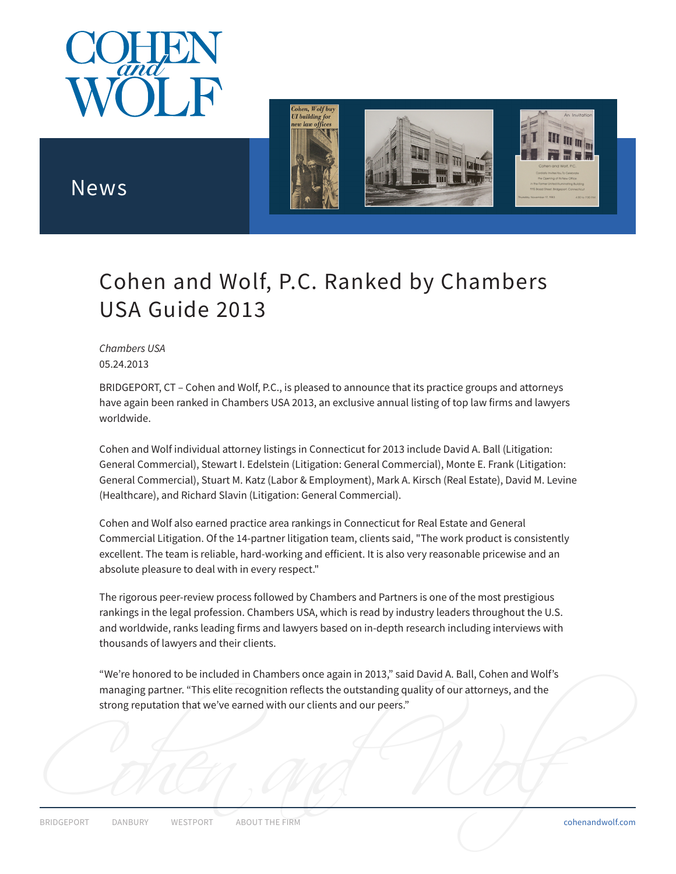



## News

# Cohen and Wolf, P.C. Ranked by Chambers USA Guide 2013

*Chambers USA* 05.24.2013

BRIDGEPORT, CT – Cohen and Wolf, P.C., is pleased to announce that its practice groups and attorneys have again been ranked in Chambers USA 2013, an exclusive annual listing of top law firms and lawyers worldwide.

Cohen and Wolf individual attorney listings in Connecticut for 2013 include David A. Ball (Litigation: General Commercial), Stewart I. Edelstein (Litigation: General Commercial), Monte E. Frank (Litigation: General Commercial), Stuart M. Katz (Labor & Employment), Mark A. Kirsch (Real Estate), David M. Levine (Healthcare), and Richard Slavin (Litigation: General Commercial).

Cohen and Wolf also earned practice area rankings in Connecticut for Real Estate and General Commercial Litigation. Of the 14-partner litigation team, clients said, "The work product is consistently excellent. The team is reliable, hard-working and efficient. It is also very reasonable pricewise and an absolute pleasure to deal with in every respect."

The rigorous peer-review process followed by Chambers and Partners is one of the most prestigious rankings in the legal profession. Chambers USA, which is read by industry leaders throughout the U.S. and worldwide, ranks leading firms and lawyers based on in-depth research including interviews with thousands of lawyers and their clients.

"We're honored to be included in Chambers once again in 2013," said David A. Ball, Cohen and Wolf's managing partner. "This elite recognition reflects the outstanding quality of our attorneys, and the strong reputation that we've earned with our clients and our peers."